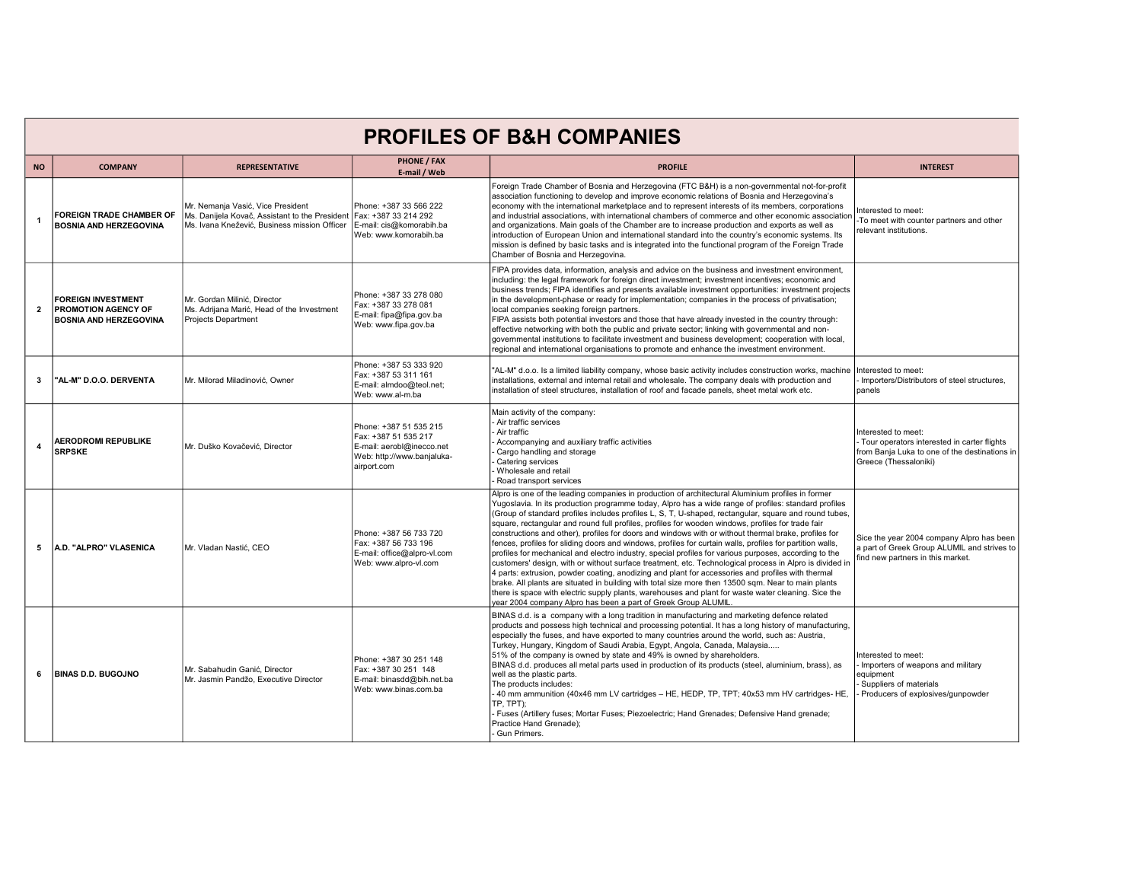| <b>PROFILES OF B&amp;H COMPANIES</b> |                                                                                          |                                                                                                                                     |                                                                                                                          |                                                                                                                                                                                                                                                                                                                                                                                                                                                                                                                                                                                                                                                                                                                                                                                                                                                                                                                                                                                                                                                                                                                                                                                                                                                      |                                                                                                                                              |  |  |  |
|--------------------------------------|------------------------------------------------------------------------------------------|-------------------------------------------------------------------------------------------------------------------------------------|--------------------------------------------------------------------------------------------------------------------------|------------------------------------------------------------------------------------------------------------------------------------------------------------------------------------------------------------------------------------------------------------------------------------------------------------------------------------------------------------------------------------------------------------------------------------------------------------------------------------------------------------------------------------------------------------------------------------------------------------------------------------------------------------------------------------------------------------------------------------------------------------------------------------------------------------------------------------------------------------------------------------------------------------------------------------------------------------------------------------------------------------------------------------------------------------------------------------------------------------------------------------------------------------------------------------------------------------------------------------------------------|----------------------------------------------------------------------------------------------------------------------------------------------|--|--|--|
| <b>NO</b>                            | <b>COMPANY</b>                                                                           | <b>REPRESENTATIVE</b>                                                                                                               | <b>PHONE / FAX</b><br>E-mail / Web                                                                                       | <b>PROFILE</b>                                                                                                                                                                                                                                                                                                                                                                                                                                                                                                                                                                                                                                                                                                                                                                                                                                                                                                                                                                                                                                                                                                                                                                                                                                       | <b>INTEREST</b>                                                                                                                              |  |  |  |
| $\mathbf{1}$                         | FOREIGN TRADE CHAMBER OF<br><b>BOSNIA AND HERZEGOVINA</b>                                | Mr. Nemania Vasić. Vice President<br>Ms. Danijela Kovač, Assistant to the President<br>Ms. Ivana Knežević, Business mission Officer | Phone: +387 33 566 222<br>Fax: +387 33 214 292<br>E-mail: cis@komorabih.ba<br>Web: www.komorabih.ba                      | Foreign Trade Chamber of Bosnia and Herzegovina (FTC B&H) is a non-governmental not-for-profit<br>association functioning to develop and improve economic relations of Bosnia and Herzegovina's<br>economy with the international marketplace and to represent interests of its members, corporations<br>and industrial associations, with international chambers of commerce and other economic association<br>and organizations. Main goals of the Chamber are to increase production and exports as well as<br>introduction of European Union and international standard into the country's economic systems. Its<br>mission is defined by basic tasks and is integrated into the functional program of the Foreign Trade<br>Chamber of Bosnia and Herzegovina.                                                                                                                                                                                                                                                                                                                                                                                                                                                                                   | nterested to meet:<br>To meet with counter partners and other<br>relevant institutions.                                                      |  |  |  |
| $\overline{2}$                       | <b>FOREIGN INVESTMENT</b><br><b>PROMOTION AGENCY OF</b><br><b>BOSNIA AND HERZEGOVINA</b> | Mr. Gordan Milinić, Director<br>Ms. Adrijana Marić, Head of the Investment<br>Projects Department                                   | Phone: +387 33 278 080<br>Fax: +387 33 278 081<br>E-mail: fipa@fipa.gov.ba<br>Web: www.fipa.gov.ba                       | FIPA provides data, information, analysis and advice on the business and investment environment,<br>including: the legal framework for foreign direct investment; investment incentives; economic and<br>business trends; FIPA identifies and presents available investment opportunities: investment projects<br>In the development-phase or ready for implementation: companies in the process of privatisation:<br>local companies seeking foreign partners.<br>FIPA assists both potential investors and those that have already invested in the country through:<br>effective networking with both the public and private sector; linking with governmental and non-<br>governmental institutions to facilitate investment and business development; cooperation with local,<br>regional and international organisations to promote and enhance the investment environment.                                                                                                                                                                                                                                                                                                                                                                     |                                                                                                                                              |  |  |  |
| 3                                    | "AL-M" D.O.O. DERVENTA                                                                   | Mr. Milorad Miladinović, Owner                                                                                                      | Phone: +387 53 333 920<br>Fax: +387 53 311 161<br>E-mail: almdoo@teol.net;<br>Web: www.al-m.ba                           | "AL-M" d.o.o. Is a limited liability company, whose basic activity includes construction works, machine<br>installations, external and internal retail and wholesale. The company deals with production and<br>installation of steel structures, installation of roof and facade panels, sheet metal work etc.                                                                                                                                                                                                                                                                                                                                                                                                                                                                                                                                                                                                                                                                                                                                                                                                                                                                                                                                       | Interested to meet:<br>Importers/Distributors of steel structures.<br>panels                                                                 |  |  |  |
| $\overline{4}$                       | <b>AERODROMI REPUBLIKE</b><br><b>SRPSKE</b>                                              | Mr. Duško Kovačević, Director                                                                                                       | Phone: +387 51 535 215<br>Fax: +387 51 535 217<br>E-mail: aerobl@inecco.net<br>Web: http://www.banjaluka-<br>airport.com | Main activity of the company:<br>Air traffic services<br>Air traffic<br>Accompanying and auxiliary traffic activities<br>Cargo handling and storage<br>Catering services<br>Wholesale and retail<br>Road transport services                                                                                                                                                                                                                                                                                                                                                                                                                                                                                                                                                                                                                                                                                                                                                                                                                                                                                                                                                                                                                          | Interested to meet:<br>Tour operators interested in carter flights<br>from Banja Luka to one of the destinations in<br>Greece (Thessaloniki) |  |  |  |
| 5                                    | A.D. "ALPRO" VLASENICA                                                                   | Mr. Vladan Nastić, CEO                                                                                                              | Phone: +387 56 733 720<br>Fax: +387 56 733 196<br>E-mail: office@alpro-vl.com<br>Web: www.alpro-vl.com                   | Alpro is one of the leading companies in production of architectural Aluminium profiles in former<br>Yugoslavia. In its production programme today, Alpro has a wide range of profiles: standard profiles<br>(Group of standard profiles includes profiles L, S, T, U-shaped, rectangular, square and round tubes,<br>square, rectangular and round full profiles, profiles for wooden windows, profiles for trade fair<br>constructions and other), profiles for doors and windows with or without thermal brake, profiles for<br>fences, profiles for sliding doors and windows, profiles for curtain walls, profiles for partition walls,<br>profiles for mechanical and electro industry, special profiles for various purposes, according to the<br>customers' design, with or without surface treatment, etc. Technological process in Alpro is divided in<br>4 parts: extrusion, powder coating, anodizing and plant for accessories and profiles with thermal<br>brake. All plants are situated in building with total size more then 13500 sqm. Near to main plants<br>there is space with electric supply plants, warehouses and plant for waste water cleaning. Sice the<br>year 2004 company Alpro has been a part of Greek Group ALUMIL | Sice the year 2004 company Alpro has been<br>a part of Greek Group ALUMIL and strives to<br>find new partners in this market.                |  |  |  |
| 6                                    | <b>BINAS D.D. BUGOJNO</b>                                                                | Mr. Sabahudin Ganić. Director<br>Mr. Jasmin Pandžo, Executive Director                                                              | Phone: +387 30 251 148<br>Fax: +387 30 251 148<br>E-mail: binasdd@bih.net.ba<br>Web: www.binas.com.ba                    | BINAS d.d. is a company with a long tradition in manufacturing and marketing defence related<br>products and possess high technical and processing potential. It has a long history of manufacturing,<br>especially the fuses, and have exported to many countries around the world, such as: Austria,<br>Turkey, Hungary, Kingdom of Saudi Arabia, Egypt, Angola, Canada, Malaysia<br>51% of the company is owned by state and 49% is owned by shareholders.<br>BINAS d.d. produces all metal parts used in production of its products (steel, aluminium, brass), as<br>well as the plastic parts.<br>The products includes:<br>40 mm ammunition (40x46 mm LV cartridges - HE, HEDP, TP, TPT; 40x53 mm HV cartridges- HE.<br>TP, TPT);<br>Fuses (Artillery fuses; Mortar Fuses; Piezoelectric; Hand Grenades; Defensive Hand grenade;<br>Practice Hand Grenade):<br>Gun Primers.                                                                                                                                                                                                                                                                                                                                                                    | Interested to meet:<br>Importers of weapons and military<br>equipment<br>Suppliers of materials<br>Producers of explosives/gunpowder         |  |  |  |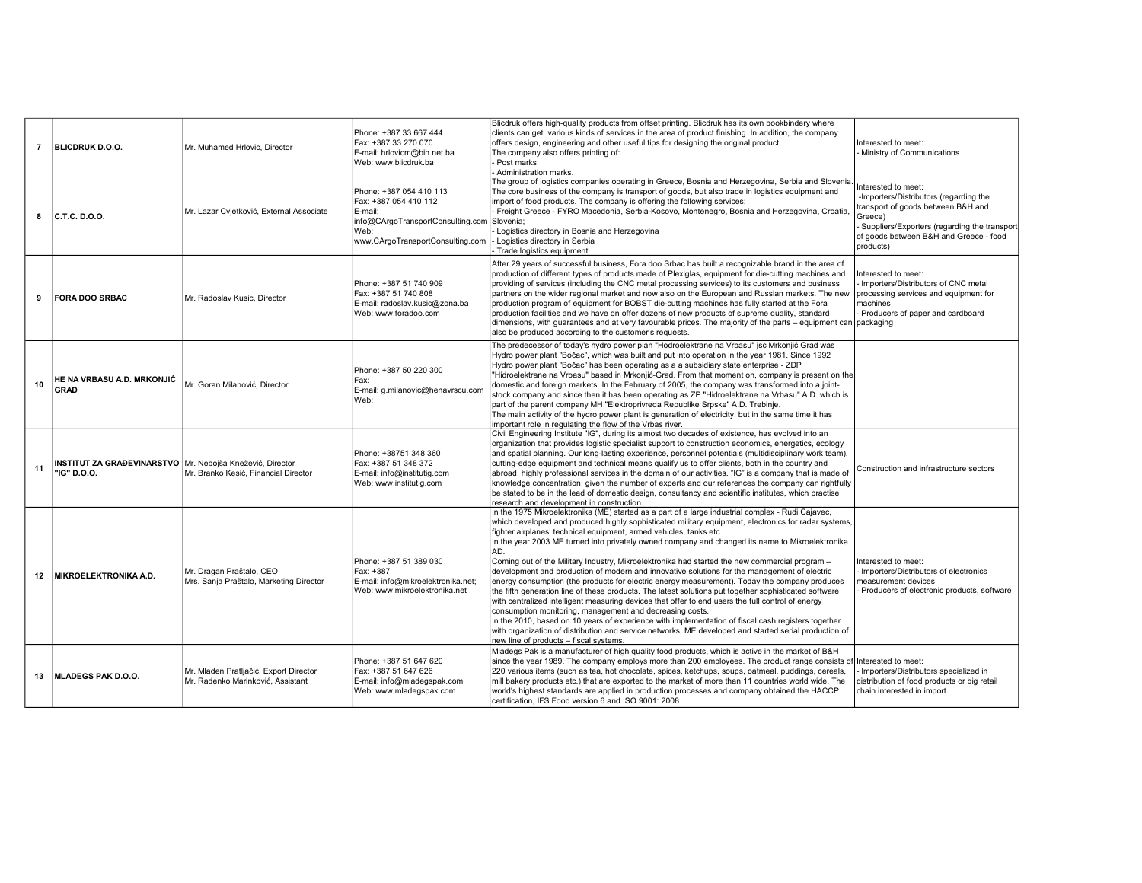| $\overline{7}$ | <b>BLICDRUK D.O.O.</b>                                                     | Mr. Muhamed Hrlovic. Director                                               | Phone: +387 33 667 444<br>Fax: +387 33 270 070<br>E-mail: hrlovicm@bih.net.ba<br>Web: www.blicdruk.ba                                                  | Blicdruk offers high-quality products from offset printing. Blicdruk has its own bookbindery where<br>clients can get various kinds of services in the area of product finishing. In addition, the company<br>offers design, engineering and other useful tips for designing the original product.<br>The company also offers printing of:<br>Post marks<br>Administration marks.                                                                                                                                                                                                                                                                                                                                                                                                                                                                                                                                                                                                                                                                                                                                                                                                                                                | Interested to meet:<br>- Ministry of Communications                                                                                                                                                                   |
|----------------|----------------------------------------------------------------------------|-----------------------------------------------------------------------------|--------------------------------------------------------------------------------------------------------------------------------------------------------|----------------------------------------------------------------------------------------------------------------------------------------------------------------------------------------------------------------------------------------------------------------------------------------------------------------------------------------------------------------------------------------------------------------------------------------------------------------------------------------------------------------------------------------------------------------------------------------------------------------------------------------------------------------------------------------------------------------------------------------------------------------------------------------------------------------------------------------------------------------------------------------------------------------------------------------------------------------------------------------------------------------------------------------------------------------------------------------------------------------------------------------------------------------------------------------------------------------------------------|-----------------------------------------------------------------------------------------------------------------------------------------------------------------------------------------------------------------------|
| 8              | C.T.C.D.O.                                                                 | Mr. Lazar Cvjetković, External Associate                                    | Phone: +387 054 410 113<br>Fax: +387 054 410 112<br>E-mail:<br>info@CArgoTransportConsulting.com Slovenia;<br>Web:<br>www.CArgoTransportConsulting.com | The group of logistics companies operating in Greece, Bosnia and Herzegovina, Serbia and Slovenia.<br>The core business of the company is transport of goods, but also trade in logistics equipment and<br>import of food products. The company is offering the following services:<br>Freight Greece - FYRO Macedonia, Serbia-Kosovo, Montenegro, Bosnia and Herzegovina, Croatia,<br>Logistics directory in Bosnia and Herzegovina<br>Logistics directory in Serbia<br>Trade logistics equipment                                                                                                                                                                                                                                                                                                                                                                                                                                                                                                                                                                                                                                                                                                                               | Interested to meet:<br>-Importers/Distributors (regarding the<br>transport of goods between B&H and<br>Greece)<br>Suppliers/Exporters (regarding the transport<br>of goods between B&H and Greece - food<br>products) |
| 9              | <b>FORA DOO SRBAC</b>                                                      | Mr. Radoslav Kusic, Director                                                | Phone: +387 51 740 909<br>Fax: +387 51 740 808<br>E-mail: radoslav.kusic@zona.ba<br>Web: www.foradoo.com                                               | After 29 years of successful business, Fora doo Srbac has built a recognizable brand in the area of<br>production of different types of products made of Plexiglas, equipment for die-cutting machines and<br>providing of services (including the CNC metal processing services) to its customers and business<br>partners on the wider regional market and now also on the European and Russian markets. The new<br>production program of equipment for BOBST die-cutting machines has fully started at the Fora<br>production facilities and we have on offer dozens of new products of supreme quality, standard<br>dimensions, with guarantees and at very favourable prices. The majority of the parts $-$ equipment can packaging<br>also be produced according to the customer's requests.                                                                                                                                                                                                                                                                                                                                                                                                                               | Interested to meet:<br>Importers/Distributors of CNC metal<br>processing services and equipment for<br>machines<br>Producers of paper and cardboard                                                                   |
| 10             | HE NA VRBASU A.D. MRKONJIĆ<br>GRAD                                         | Mr. Goran Milanović, Director                                               | Phone: +387 50 220 300<br>Fax:<br>E-mail: g.milanovic@henavrscu.con<br>Web:                                                                            | The predecessor of today's hydro power plan "Hodroelektrane na Vrbasu" jsc Mrkonjić Grad was<br>Hydro power plant "Bočac", which was built and put into operation in the year 1981. Since 1992<br>Hydro power plant "Bočac" has been operating as a a subsidiary state enterprise - ZDP<br>"Hidroelektrane na Vrbasu" based in Mrkonjić-Grad. From that moment on, company is present on the<br>domestic and foreign markets. In the February of 2005, the company was transformed into a joint-<br>stock company and since then it has been operating as ZP "Hidroelektrane na Vrbasu" A.D. which is<br>part of the parent company MH "Elektroprivreda Republike Srpske" A.D. Trebinje.<br>The main activity of the hydro power plant is generation of electricity, but in the same time it has<br>important role in regulating the flow of the Vrbas river.                                                                                                                                                                                                                                                                                                                                                                    |                                                                                                                                                                                                                       |
| 11             | INSTITUT ZA GRAĐEVINARSTVO   Mr. Nebojša Knežević, Director<br>"IG" D.O.O. | Mr. Branko Kesić, Financial Director                                        | Phone: +38751 348 360<br>Fax: +387 51 348 372<br>E-mail: info@institutig.com<br>Web: www.institutig.com                                                | Civil Engineering Institute "IG", during its almost two decades of existence, has evolved into an<br>organization that provides logistic specialist support to construction economics, energetics, ecology<br>and spatial planning. Our long-lasting experience, personnel potentials (multidisciplinary work team),<br>cutting-edge equipment and technical means qualify us to offer clients, both in the country and<br>abroad, highly professional services in the domain of our activities. "IG" is a company that is made of<br>knowledge concentration; given the number of experts and our references the company can rightfully<br>be stated to be in the lead of domestic design, consultancy and scientific institutes, which practise<br>research and development in construction.                                                                                                                                                                                                                                                                                                                                                                                                                                   | Construction and infrastructure sectors                                                                                                                                                                               |
| 12             | <b>MIKROELEKTRONIKA A.D.</b>                                               | Mr. Dragan Praštalo, CEO<br>Mrs. Sanja Praštalo, Marketing Director         | Phone: +387 51 389 030<br>Fax: +387<br>E-mail: info@mikroelektronika.net;<br>Web: www.mikroelektronika.net                                             | In the 1975 Mikroelektronika (ME) started as a part of a large industrial complex - Rudi Cajavec,<br>which developed and produced highly sophisticated military equipment, electronics for radar systems,<br>fighter airplanes' technical equipment, armed vehicles, tanks etc.<br>In the year 2003 ME turned into privately owned company and changed its name to Mikroelektronika<br>AD.<br>Coming out of the Military Industry, Mikroelektronika had started the new commercial program -<br>development and production of modern and innovative solutions for the management of electric<br>energy consumption (the products for electric energy measurement). Today the company produces<br>the fifth generation line of these products. The latest solutions put together sophisticated software<br>with centralized intelligent measuring devices that offer to end users the full control of energy<br>consumption monitoring, management and decreasing costs.<br>In the 2010, based on 10 years of experience with implementation of fiscal cash registers together<br>with organization of distribution and service networks. ME developed and started serial production of<br>new line of products - fiscal systems. | Interested to meet:<br>- Importers/Distributors of electronics<br>measurement devices<br>Producers of electronic products, software                                                                                   |
| 13             | MLADEGS PAK D.O.O.                                                         | Mr. Mladen Pratljačić, Export Director<br>Mr. Radenko Marinković, Assistant | Phone: +387 51 647 620<br>Fax: +387 51 647 626<br>E-mail: info@mladegspak.com<br>Web: www.mladegspak.com                                               | Mladegs Pak is a manufacturer of high quality food products, which is active in the market of B&H<br>since the year 1989. The company employs more than 200 employees. The product range consists of Interested to meet:<br>220 various items (such as tea, hot chocolate, spices, ketchups, soups, oatmeal, puddings, cereals,<br>mill bakery products etc.) that are exported to the market of more than 11 countries world wide. The<br>world's highest standards are applied in production processes and company obtained the HACCP<br>certification, IFS Food version 6 and ISO 9001: 2008.                                                                                                                                                                                                                                                                                                                                                                                                                                                                                                                                                                                                                                 | Importers/Distributors specialized in<br>distribution of food products or big retail<br>chain interested in import.                                                                                                   |